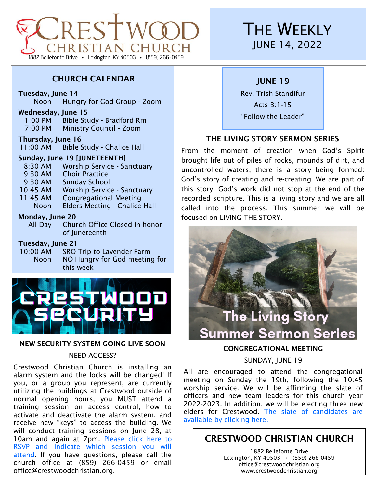

# CHURCH CALENDAR

#### Tuesday, June 14

Noon Hungry for God Group - Zoom

#### Wednesday, June 15

1:00 PM Bible Study - Bradford Rm 7:00 PM Ministry Council - Zoom

#### Thursday, June 16

11:00 AM Bible Study - Chalice Hall

#### Sunday, June 19 [JUNETEENTH]

- 8:30 AM Worship Service Sanctuary 9:30 AM Choir Practice 9:30 AM Sunday School 10:45 AM Worship Service - Sanctuary
- 11:45 AM Congregational Meeting
	- Noon Elders Meeting Chalice Hall

#### Monday, June 20

All Day Church Office Closed in honor of Juneteenth

#### Tuesday, June 21

10:00 AM SRO Trip to Lavender Farm Noon NO Hungry for God meeting for this week



#### NEW SECURITY SYSTEM GOING LIVE SOON

#### NEED ACCESS?

Crestwood Christian Church is installing an alarm system and the locks will be changed! If you, or a group you represent, are currently utilizing the buildings at Crestwood outside of normal opening hours, you MUST attend a training session on access control, how to activate and deactivate the alarm system, and receive new "keys" to access the building. We will conduct training sessions on June 28, at 10am and again at 7pm. Please click here to [RSVP and indicate which session you will](https://forms.gle/FKzryHW2fJCq5keW8)  [attend.](https://forms.gle/FKzryHW2fJCq5keW8) If you have questions, please call the church office at (859) 266-0459 or email office@crestwoodchristian.org.

# **THE WEEKLY** JUNE 14, 2022

# JUNE 19

Rev. Trish Standifur Acts 3:1-15 "Follow the Leader"

# THE LIVING STORY SERMON SERIES

From the moment of creation when God's Spirit brought life out of piles of rocks, mounds of dirt, and uncontrolled waters, there is a story being formed: God's story of creating and re-creating. We are part of this story. God's work did not stop at the end of the recorded scripture. This is a living story and we are all called into the process. This summer we will be focused on LIVING THE STORY.



# CONGREGATIONAL MEETING

#### SUNDAY, JUNE 19

All are encouraged to attend the congregational meeting on Sunday the 19th, following the 10:45 worship service. We will be affirming the slate of officers and new team leaders for this church year 2022-2023. In addition, we will be electing three new elders for Crestwood. [The slate of candidates are](https://www.crestwoodchristian.org/wp-content/uploads/2022/06/Slate-of-Officers-Leaders-FINAL.2.pdf)  [available by clicking here.](https://www.crestwoodchristian.org/wp-content/uploads/2022/06/Slate-of-Officers-Leaders-FINAL.2.pdf)

# CRESTWOOD CHRISTIAN CHURCH

1882 Bellefonte Drive Lexington, KY 40503 **·** (859) 266-0459 office@crestwoodchristian.org www.crestwoodchristian.org